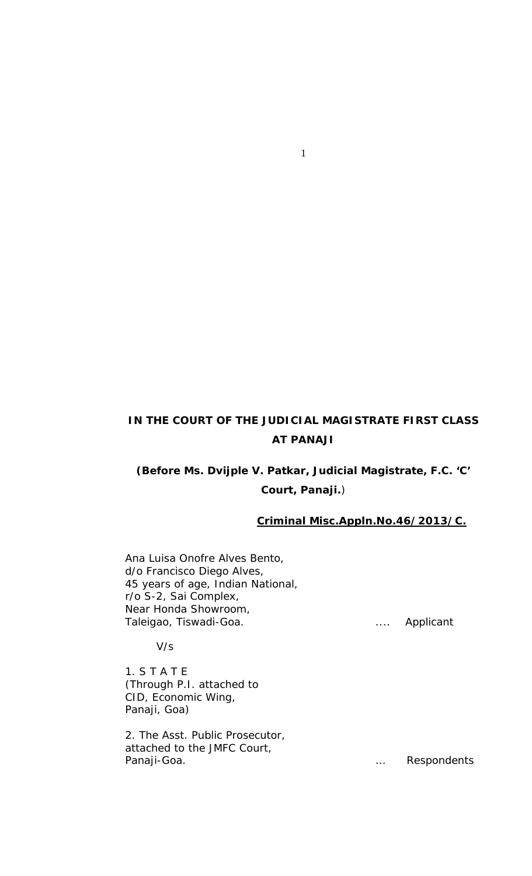### **IN THE COURT OF THE JUDICIAL MAGISTRATE FIRST CLASS AT PANAJI**

1

# **(Before Ms. Dvijple V. Patkar, Judicial Magistrate, F.C. 'C' Court, Panaji.**)

#### **Criminal Misc.Appln.No.46/2013/C.**

Ana Luisa Onofre Alves Bento, d/o Francisco Diego Alves, 45 years of age, Indian National, r/o S-2, Sai Complex, Near Honda Showroom, Taleigao, Tiswadi-Goa. . .... . .... . .... . . ... . . . Applicant

V/s

1. S T A T E (Through P.I. attached to CID, Economic Wing, Panaji, Goa)

2. The Asst. Public Prosecutor, attached to the JMFC Court, Panaji-Goa. **Example 20 and 20 analytical Contract Contract Contract Contract Contract Contract Contract Contract Contract Contract Contract Contract Contract Contract Contract Contract Contract Contract Contract Contract**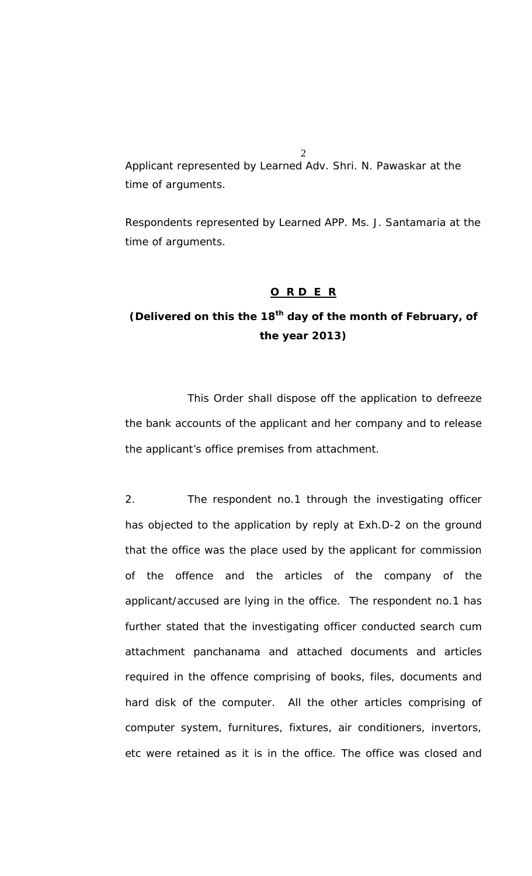Applicant represented by Learned Adv. Shri. N. Pawaskar at the time of arguments.

Respondents represented by Learned APP. Ms. J. Santamaria at the time of arguments.

#### *O R D E R*

## *(Delivered on this the 18th day of the month of February, of the year 2013)*

This Order shall dispose off the application to defreeze the bank accounts of the applicant and her company and to release the applicant's office premises from attachment.

2. The respondent no.1 through the investigating officer has objected to the application by reply at Exh.D-2 on the ground that the office was the place used by the applicant for commission of the offence and the articles of the company of the applicant/accused are lying in the office. The respondent no.1 has further stated that the investigating officer conducted search cum attachment panchanama and attached documents and articles required in the offence comprising of books, files, documents and hard disk of the computer. All the other articles comprising of computer system, furnitures, fixtures, air conditioners, invertors, etc were retained as it is in the office. The office was closed and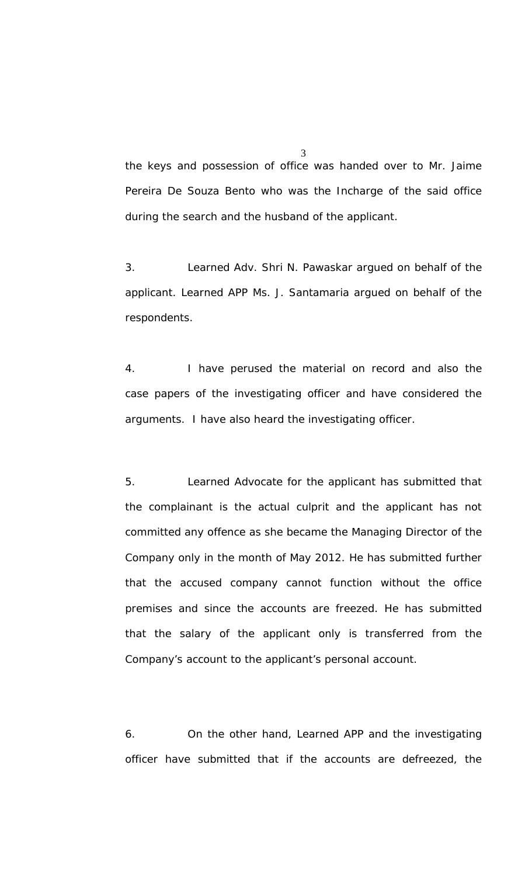the keys and possession of office was handed over to Mr. Jaime Pereira De Souza Bento who was the Incharge of the said office during the search and the husband of the applicant.

3. Learned Adv. Shri N. Pawaskar argued on behalf of the applicant. Learned APP Ms. J. Santamaria argued on behalf of the respondents.

4. I have perused the material on record and also the case papers of the investigating officer and have considered the arguments. I have also heard the investigating officer.

5. Learned Advocate for the applicant has submitted that the complainant is the actual culprit and the applicant has not committed any offence as she became the Managing Director of the Company only in the month of May 2012. He has submitted further that the accused company cannot function without the office premises and since the accounts are freezed. He has submitted that the salary of the applicant only is transferred from the Company's account to the applicant's personal account.

6. On the other hand, Learned APP and the investigating officer have submitted that if the accounts are defreezed, the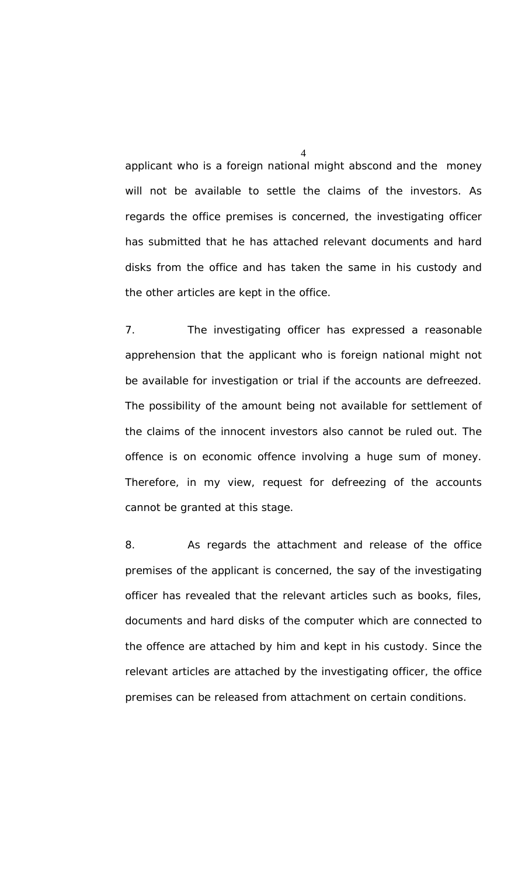applicant who is a foreign national might abscond and the money will not be available to settle the claims of the investors. As regards the office premises is concerned, the investigating officer has submitted that he has attached relevant documents and hard disks from the office and has taken the same in his custody and the other articles are kept in the office.

7. The investigating officer has expressed a reasonable apprehension that the applicant who is foreign national might not be available for investigation or trial if the accounts are defreezed. The possibility of the amount being not available for settlement of the claims of the innocent investors also cannot be ruled out. The offence is on economic offence involving a huge sum of money. Therefore, in my view, request for defreezing of the accounts cannot be granted at this stage.

8. As regards the attachment and release of the office premises of the applicant is concerned, the say of the investigating officer has revealed that the relevant articles such as books, files, documents and hard disks of the computer which are connected to the offence are attached by him and kept in his custody. Since the relevant articles are attached by the investigating officer, the office premises can be released from attachment on certain conditions.

 $\Delta$